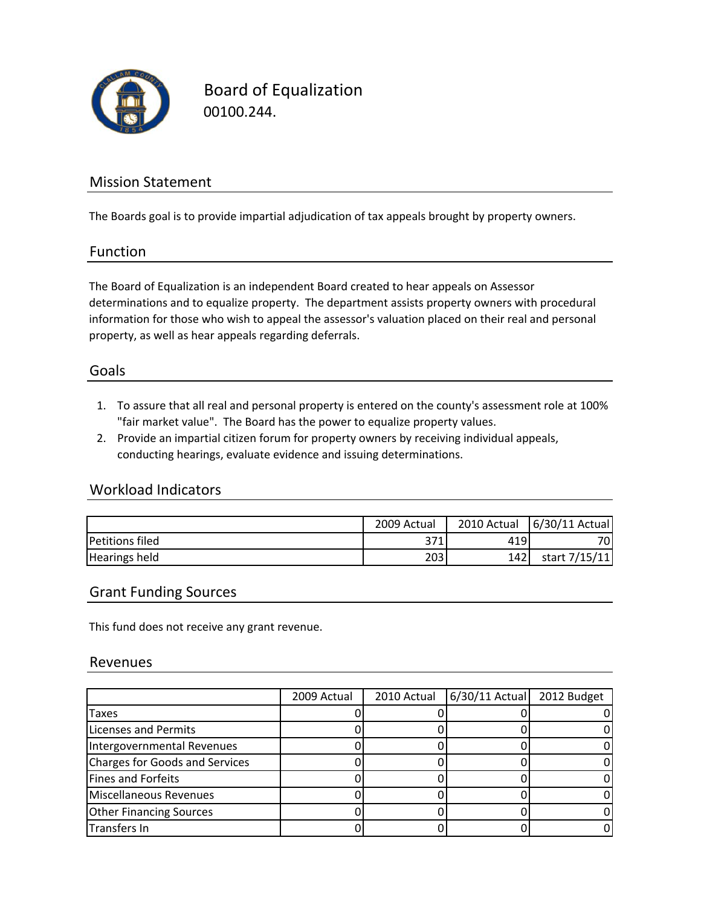

Board of Equalization 00100.244.

## Mission Statement

The Boards goal is to provide impartial adjudication of tax appeals brought by property owners.

#### Function

The Board of Equalization is an independent Board created to hear appeals on Assessor determinations and to equalize property. The department assists property owners with procedural information for those who wish to appeal the assessor's valuation placed on their real and personal property, as well as hear appeals regarding deferrals.

### Goals

- 1. To assure that all real and personal property is entered on the county's assessment role at 100% "fair market value". The Board has the power to equalize property values.
- 2. Provide an impartial citizen forum for property owners by receiving individual appeals, conducting hearings, evaluate evidence and issuing determinations.

### Workload Indicators

|                        | 2009 Actual | 2010 Actual | 6/30/11 Actual |
|------------------------|-------------|-------------|----------------|
| <b>Petitions filed</b> | 371         | 419         | 70.            |
| <b>Hearings held</b>   | 203         | 1421        | start 7/15/11  |

#### Grant Funding Sources

This fund does not receive any grant revenue.

#### Revenues

|                                       | 2009 Actual | 2010 Actual | 6/30/11 Actual 2012 Budget |  |
|---------------------------------------|-------------|-------------|----------------------------|--|
| Taxes                                 |             |             |                            |  |
| <b>Licenses and Permits</b>           |             |             |                            |  |
| Intergovernmental Revenues            |             |             |                            |  |
| <b>Charges for Goods and Services</b> |             |             |                            |  |
| <b>Fines and Forfeits</b>             |             |             |                            |  |
| Miscellaneous Revenues                |             |             |                            |  |
| <b>Other Financing Sources</b>        |             |             |                            |  |
| Transfers In                          |             |             |                            |  |